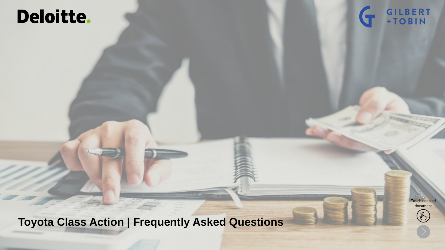## Deloitte.



**Toyota Class Action | Frequently Asked Questions**

Touch enabled document

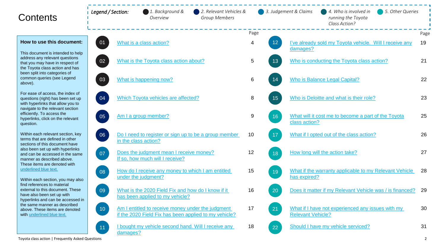| Contents                                                                                                                                                                                                                                                                                                                                                                                                                                                                                                                                        | Legend / Section: | 1. Background &<br>Overview                                                                                | 2. Relevant Vehicles &<br><b>Group Members</b> |       | 3. Judgement & Claims          | 4. Who is involved in<br>5. Other Queries<br>running the Toyota<br>Class Action? |                |
|-------------------------------------------------------------------------------------------------------------------------------------------------------------------------------------------------------------------------------------------------------------------------------------------------------------------------------------------------------------------------------------------------------------------------------------------------------------------------------------------------------------------------------------------------|-------------------|------------------------------------------------------------------------------------------------------------|------------------------------------------------|-------|--------------------------------|----------------------------------------------------------------------------------|----------------|
|                                                                                                                                                                                                                                                                                                                                                                                                                                                                                                                                                 |                   |                                                                                                            |                                                | Page  |                                |                                                                                  | Page           |
| How to use this document:                                                                                                                                                                                                                                                                                                                                                                                                                                                                                                                       | 01                | What is a class action?                                                                                    |                                                | 4     | 12 <sup>°</sup><br>damages?    | I've already sold my Toyota vehicle. Will I receive any                          | 19             |
| This document is intended to help<br>address any relevant questions<br>that you may have in respect of<br>the Toyota class action and has<br>been split into categories of<br>common queries (see Legend<br>above).                                                                                                                                                                                                                                                                                                                             | 02                | What is the Toyota class action about?                                                                     |                                                | 5     | 13                             | Who is conducting the Toyota class action?                                       | 21             |
|                                                                                                                                                                                                                                                                                                                                                                                                                                                                                                                                                 | 03                | What is happening now?                                                                                     |                                                | 6     | 14                             | Who is Balance Legal Capital?                                                    | 22             |
| For ease of access, the index of<br>questions (right) has been set up<br>with hyperlinks that allow you to<br>navigate to the relevant section<br>efficiently. To access the<br>hyperlinks, click on the relevant<br>question.                                                                                                                                                                                                                                                                                                                  | 04                | Which Toyota vehicles are affected?                                                                        |                                                | 8     | 15                             | Who is Deloitte and what is their role?                                          | 23             |
|                                                                                                                                                                                                                                                                                                                                                                                                                                                                                                                                                 | 05                | Am I a group member?                                                                                       |                                                | $9\,$ | 16<br>class action?            | What will it cost me to become a part of the Toyota                              | 25             |
| Within each relevant section, key<br>terms that are defined in other<br>sections of this document have<br>also been set up with hyperlinks<br>and can be accessed in the same<br>manner as described above.<br>These items are denoted with<br>underlined blue text.<br>Within each section, you may also<br>find references to material<br>external to this document. These<br>have also been set up with<br>hyperlinks and can be accessed in<br>the same manner as described<br>above. These items are denoted<br>with underlined blue text. | 06                | Do I need to register or sign up to be a group member<br>in the class action?                              |                                                | 10    | 17                             | What if I opted out of the class action?                                         | 26             |
|                                                                                                                                                                                                                                                                                                                                                                                                                                                                                                                                                 | 07                | Does the judgment mean I receive money?<br>If so, how much will I receive?                                 |                                                | 12    | 18                             | How long will the action take?                                                   | 27             |
|                                                                                                                                                                                                                                                                                                                                                                                                                                                                                                                                                 | 08                | How do I receive any money to which I am entitled<br>under the judgment?                                   |                                                | 15    | 19<br>has expired?             | What if the warranty applicable to my Relevant Vehicle                           | 28             |
|                                                                                                                                                                                                                                                                                                                                                                                                                                                                                                                                                 | 09                | What is the 2020 Field Fix and how do I know if it<br>has been applied to my vehicle?                      |                                                | 16    | 20                             | Does it matter if my Relevant Vehicle was / is financed?                         | 29             |
|                                                                                                                                                                                                                                                                                                                                                                                                                                                                                                                                                 | 10 <sup>°</sup>   | Am I entitled to receive money under the judgment<br>if the 2020 Field Fix has been applied to my vehicle? |                                                | 17    | 21<br><b>Relevant Vehicle?</b> | What if I have not experienced any issues with my                                | 30             |
|                                                                                                                                                                                                                                                                                                                                                                                                                                                                                                                                                 | 11<br>damages?    | I bought my vehicle second hand. Will I receive any                                                        |                                                | 18    | 22                             | Should I have my vehicle serviced?                                               | 31             |
| Toyota class action   Frequently Asked Questions                                                                                                                                                                                                                                                                                                                                                                                                                                                                                                |                   |                                                                                                            |                                                |       |                                |                                                                                  | $\overline{2}$ |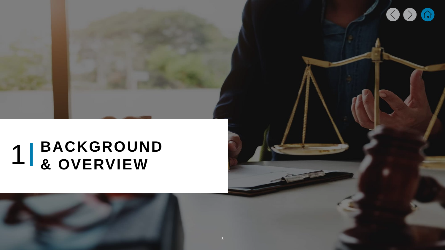# <span id="page-2-0"></span>**BACKGROUND & OVERVIEW**

 $\bullet$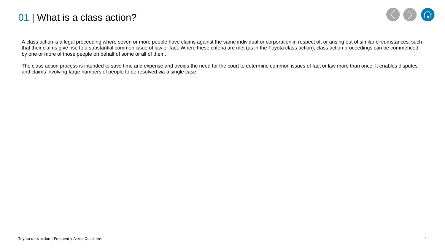#### <span id="page-3-0"></span>01 | What is a class action?



A class action is a legal proceeding where seven or more people have claims against the same individual or corporation in respect of, or arising out of similar circumstances, such that their claims give rise to a substantial common issue of law or fact. Where these criteria are met (as in the Toyota class action), class action proceedings can be commenced by one or more of those people on behalf of some or all of them.

The class action process is intended to save time and expense and avoids the need for the court to determine common issues of fact or law more than once. It enables disputes and claims involving large numbers of people to be resolved via a single case.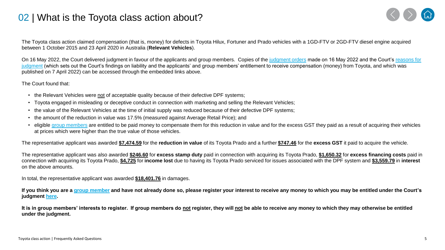#### <span id="page-4-0"></span>02 | What is the Toyota class action about?



The Toyota class action claimed compensation (that is, money) for defects in Toyota Hilux, Fortuner and Prado vehicles with a 1GD-FTV or 2GD-FTV diesel engine acquired between 1 October 2015 and 23 April 2020 in Australia (**Relevant Vehicles**).

On 16 May 2022, the Court delivered judgment in favour of the applicants and group members. Copies of the [judgment orders](https://www.comcourts.gov.au/file/Federal/P/NSD1210/2019/3864587/event/31060491/document/1945916) made on 16 May 2022 and the Court's reasons for judgment [\(which sets out the Court's findings on liability and the applicants' and group members' entitlement to receive compensation \(money\) from Toyota, and which was](https://www.judgments.fedcourt.gov.au/judgments/Judgments/fca/single/2022/2022fca0344)  published on 7 April 2022) can be accessed through the embedded links above.

The Court found that:

- the Relevant Vehicles were not of acceptable quality because of their defective DPF systems;
- Toyota engaged in misleading or deceptive conduct in connection with marketing and selling the Relevant Vehicles;
- the value of the Relevant Vehicles at the time of initial supply was reduced because of their defective DPF systems;
- the amount of the reduction in value was 17.5% (measured against Average Retail Price); and
- eligible [group members](#page-8-0) are entitled to be paid money to compensate them for this reduction in value and for the excess GST they paid as a result of acquiring their vehicles at prices which were higher than the true value of those vehicles.

The representative applicant was awarded **\$7,474.59** for the **reduction in value** of its Toyota Prado and a further **\$747.46** for the **excess GST** it paid to acquire the vehicle.

The representative applicant was also awarded **\$246.60** for **excess stamp duty** paid in connection with acquiring its Toyota Prado, **\$1,650.32** for **excess financing costs** paid in connection with acquiring its Toyota Prado, **\$4,725** for **income lost** due to having its Toyota Prado serviced for issues associated with the DPF system and **\$3,559.79** in **interest** on the above amounts.

In total, the representative applicant was awarded **\$18,401.76** in damages.

**If you think you are a [group member](#page-8-0) and have not already done so, please register your interest to receive any money to which you may be entitled under the Court's judgment [here.](https://aurestructuring.deloitte-halo.com/toyotaclassaction/)**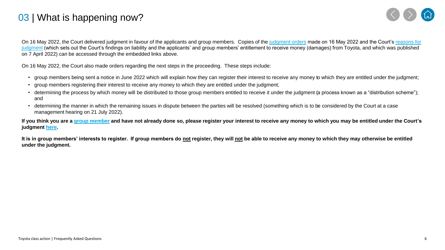### <span id="page-5-0"></span>03 | What is happening now?



On 16 May 2022, the Court delivered judgment in favour of the applicants and group members. Copies of the [judgment orders](https://www.comcourts.gov.au/file/Federal/P/NSD1210/2019/3864587/event/31060491/document/1945916) made on 16 May 2022 and the Court's reasons for judgment [\(which sets out the Court's findings on liability and the applicants' and group members' entitlement to receive money \(damages\)](https://www.judgments.fedcourt.gov.au/judgments/Judgments/fca/single/2022/2022fca0344) from Toyota, and which was published on 7 April 2022) can be accessed through the embedded links above.

On 16 May 2022, the Court also made orders regarding the next steps in the proceeding. These steps include:

- group members being sent a notice in June 2022 which will explain how they can register their interest to receive any money to which they are entitled under the judgment;
- group members registering their interest to receive any money to which they are entitled under the judgment;
- determining the process by which money will be distributed to those group members entitled to receive it under the judgment (a process known as a "distribution scheme"); and
- determining the manner in which the remaining issues in dispute between the parties will be resolved (something which is to be considered by the Court at a case management hearing on 21 July 2022).

**If you think you are a [group member](#page-8-0) and have not already done so, please register your interest to receive any money to which you may be entitled under the Court's judgment [here.](https://aurestructuring.deloitte-halo.com/toyotaclassaction/)**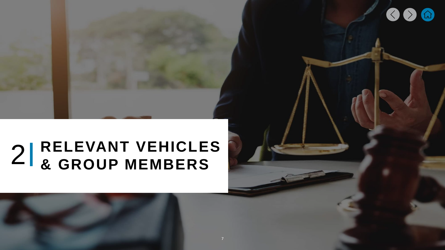# <span id="page-6-0"></span>**RELEVANT VEHICLES & GROUP MEMBERS**

 $\bigcirc$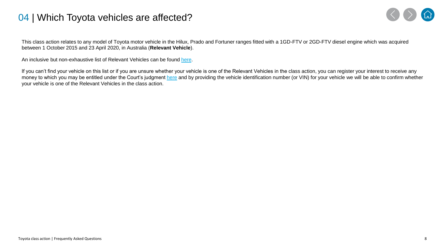#### <span id="page-7-0"></span>04 | Which Toyota vehicles are affected?



This class action relates to any model of Toyota motor vehicle in the Hilux, Prado and Fortuner ranges fitted with a 1GD-FTV or 2GD-FTV diesel engine which was acquired between 1 October 2015 and 23 April 2020, in Australia (**Relevant Vehicle**).

An inclusive but non-exhaustive list of Relevant Vehicles can be found [here](https://www.toyotaclassaction.com.au/wp-content/uploads/2020/07/Inclusive-but-non-exhaustive-list-of-Affected-Vehicles.pdf).

If you can't find your vehicle on this list or if you are unsure whether your vehicle is one of the Relevant Vehicles in the class action, you can register your interest to receive any money to which you may be entitled under the Court's judgment [here](https://www.comcourts.gov.au/file/Federal/P/NSD1210/2019/3864587/event/31060491/document/1945916) and by providing the vehicle identification number (or VIN) for your vehicle we will be able to confirm whether your vehicle is one of the Relevant Vehicles in the class action.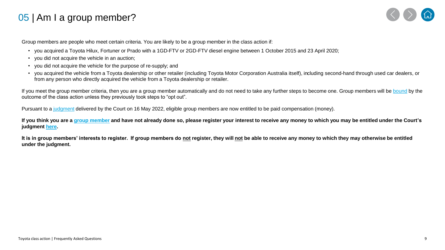## <span id="page-8-0"></span>05 | Am I a group member?



Group members are people who meet certain criteria. You are likely to be a group member in the class action if:

- you acquired a Toyota Hilux, Fortuner or Prado with a 1GD-FTV or 2GD-FTV diesel engine between 1 October 2015 and 23 April 2020;
- you did not acquire the vehicle in an auction;
- you did not acquire the vehicle for the purpose of re-supply; and
- you acquired the vehicle from a Toyota dealership or other retailer (including Toyota Motor Corporation Australia itself), including second-hand through used car dealers, or from any person who directly acquired the vehicle from a Toyota dealership or retailer.

If you meet the group member criteria, then you are a group member automatically and do not need to take any further steps to become one. Group members will be [bound](#page-14-0) by the outcome of the class action unless they previously took steps to "opt out".

Pursuant to a [judgment](https://www.comcourts.gov.au/file/Federal/P/NSD1210/2019/3864587/event/31060491/document/1945916) delivered by the Court on 16 May 2022, eligible group members are now entitled to be paid compensation (money).

**If you think you are a [group member](#page-8-0) and have not already done so, please register your interest to receive any money to which you may be entitled under the Court's judgment [here.](https://aurestructuring.deloitte-halo.com/toyotaclassaction/)**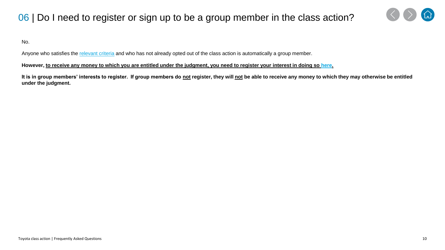## <span id="page-9-0"></span>06 | Do I need to register or sign up to be a group member in the class action?



No.

Anyone who satisfies the [relevant criteria](#page-7-0) and who has not already opted out of the class action is automatically a group member.

#### **However, to receive any money to which you are entitled under the judgment, you need to register your interest in doing so [here](https://aurestructuring.deloitte-halo.com/toyotaclassaction/).**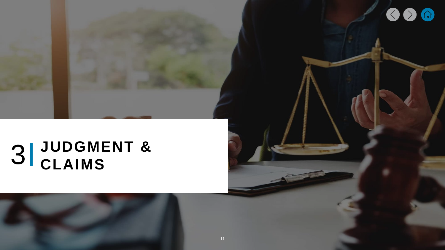# <span id="page-10-0"></span>**JUDGMENT &**

 $\bullet$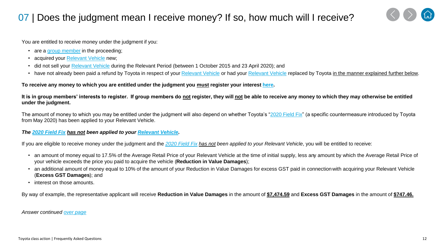## <span id="page-11-0"></span>07 | Does the judgment mean I receive money? If so, how much will I receive?



You are entitled to receive money under the judgment if you:

- are a [group member](#page-8-0) in the proceeding;
- acquired your [Relevant Vehicle](#page-7-0) new;
- did not sell your [Relevant Vehicle](#page-7-0) during the Relevant Period (between 1 October 2015 and 23 April 2020); and
- have not already been paid a refund by Toyota in respect of your [Relevant Vehicle](#page-7-0) or had your [Relevant Vehicle](#page-7-0) replaced by Toyota in the manner explained further below.

**To receive any money to which you are entitled under the judgment you must register your interest [here.](https://aurestructuring.deloitte-halo.com/toyotaclassaction/)** 

**It is in group members' interests to register. If group members do not register, they will not be able to receive any money to which they may otherwise be entitled under the judgment.**

The amount of money to which you may be entitled under the judgment will also depend on whether Toyota's "[2020 Field Fix](#page-15-0)" (a specific countermeasure introduced by Toyota from May 2020) has been applied to your Relevant Vehicle.

#### *The [2020 Field Fix](#page-15-0) has not been applied to your [Relevant Vehicle.](#page-7-0)*

If you are eligible to receive money under the judgment and the *[2020 Field Fix](#page-15-0) has not been applied to your Relevant Vehicle*, you will be entitled to receive:

- an amount of money equal to 17.5% of the Average Retail Price of your Relevant Vehicle at the time of initial supply, less any amount by which the Average Retail Price of your vehicle exceeds the price you paid to acquire the vehicle (**Reduction in Value Damages**);
- an additional amount of money equal to 10% of the amount of your Reduction in Value Damages for excess GST paid in connection with acquiring your Relevant Vehicle (**Excess GST Damages**); and
- interest on those amounts.

By way of example, the representative applicant will receive **Reduction in Value Damages** in the amount of **\$7,474.59** and **Excess GST Damages** in the amount of **\$747.46.**

*Answer continued [over page](#page-12-0)*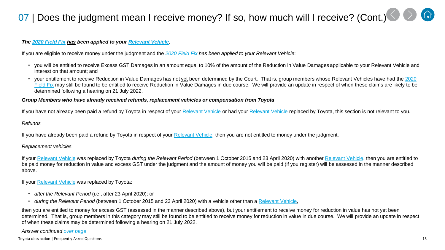## <span id="page-12-0"></span>07 | Does the judgment mean I receive money? If so, how much will I receive? (Cont.[\)](#page-11-0)

#### *The [2020 Field Fix](#page-15-0) has been applied to your [Relevant Vehicle.](#page-7-0)*

If you are eligible to receive money under the judgment and the *[2020 Field Fix](#page-15-0) has been applied to your Relevant Vehicle*:

- you will be entitled to receive Excess GST Damages in an amount equal to 10% of the amount of the Reduction in Value Damages applicable to your Relevant Vehicle and interest on that amount; and
- your entitlement to receive Reduction in Value Damages has not yet been determined by the Court. That is, group members whose Relevant Vehicles have had the 2020 Field Fix [may still be found to be entitled to receive Reduction in Value Damages in due course. We will provide an update in respect of](#page-15-0) when these claims are likely to be determined following a hearing on 21 July 2022.

#### *Group Members who have already received refunds, replacement vehicles or compensation from Toyota*

If you have not already been paid a refund by Toyota in respect of your [Relevant Vehicle](#page-7-0) or had your [Relevant Vehicle](#page-7-0) replaced by Toyota, this section is not relevant to you.

#### *Refunds*

If you have already been paid a refund by Toyota in respect of your [Relevant Vehicle](#page-7-0), then you are not entitled to money under the judgment.

#### *Replacement vehicles*

If your [Relevant Vehicle](#page-7-0) was replaced by Toyota *during the Relevant Period* (between 1 October 2015 and 23 April 2020) with another [Relevant Vehicle,](#page-7-0) then you are entitled to be paid money for reduction in value and excess GST under the judgment and the amount of money you will be paid (if you register) will be assessed in the manner described above.

If your [Relevant Vehicle](#page-7-0) was replaced by Toyota:

- *after the Relevant Period* (i.e., after 23 April 2020); or
- *during the Relevant Period* (between 1 October 2015 and 23 April 2020) with a vehicle other than a [Relevant Vehicle](#page-7-0),

then you are entitled to money for excess GST (assessed in the manner described above), but your entitlement to receive money for reduction in value has not yet been determined. That is, group members in this category may still be found to be entitled to receive money for reduction in value in due course. We will provide an update in respect of when these claims may be determined following a hearing on 21 July 2022.

#### *Answer continued [over page](#page-13-0)*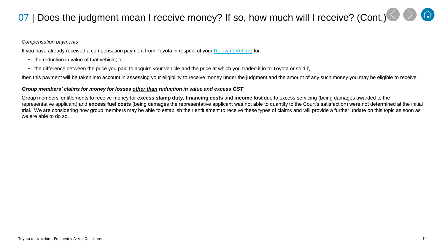## <span id="page-13-0"></span>07 | Does the judgment mean I receive money? If so, how much will I receive? (Cont.[\)](#page-12-0)

#### *Compensation payments*

If you have already received a compensation payment from Toyota in respect of your [Relevant Vehicle](#page-7-0) for:

- the reduction in value of that vehicle; or
- the difference between the price you paid to acquire your vehicle and the price at which you traded it in to Toyota or sold it,

then this payment will be taken into account in assessing your eligibility to receive money under the judgment and the amount of any such money you may be eligible to receive.

#### *Group members' claims for money for losses other than reduction in value and excess GST*

Group members' entitlements to receive money for **excess stamp duty**, **financing costs** and **income lost** due to excess servicing (being damages awarded to the representative applicant) and **excess fuel costs** (being damages the representative applicant was not able to quantify to the Court's satisfaction) were not determined at the initial trial. We are considering how group members may be able to establish their entitlement to receive these types of claims and will provide a further update on this topic as soon as we are able to do so.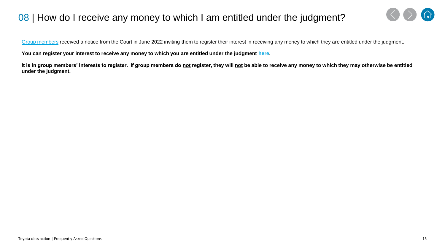## <span id="page-14-0"></span>08 | How do I receive any money to which I am entitled under the judgment?



[Group members](#page-8-0) received a notice from the Court in June 2022 inviting them to register their interest in receiving any money to which they are entitled under the judgment.

**You can register your interest to receive any money to which you are entitled under the judgment [here.](https://aurestructuring.deloitte-halo.com/toyotaclassaction/)**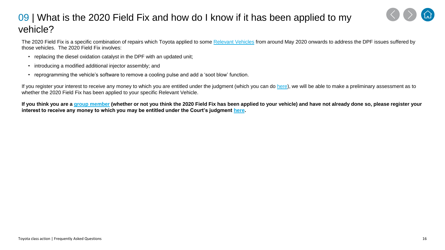### <span id="page-15-0"></span>09 | What is the 2020 Field Fix and how do I know if it has been applied to my vehicle?



- replacing the diesel oxidation catalyst in the DPF with an updated unit;
- introducing a modified additional injector assembly; and
- reprogramming the vehicle's software to remove a cooling pulse and add a 'soot blow' function.

If you register your interest to receive any money to which you are entitled under the judgment (which you can do [here\)](https://aurestructuring.deloitte-halo.com/toyotaclassaction/), we will be able to make a preliminary assessment as to whether the 2020 Field Fix has been applied to your specific Relevant Vehicle.

**If you think you are a [group member](#page-8-0) (whether or not you think the 2020 Field Fix has been applied to your vehicle) and have not already done so, please register your interest to receive any money to which you may be entitled under the Court's judgment [here.](https://aurestructuring.deloitte-halo.com/toyotaclassaction/)**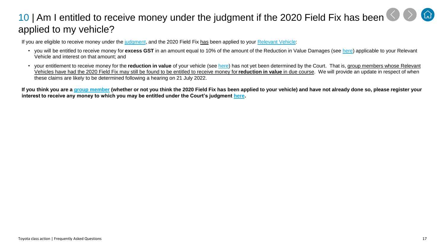## <span id="page-16-0"></span>10| Am I entitled to receive money under the judgment if the 2020 Field Fix has been applied to my vehicle?

If you are eligible to receive money under the [judgment,](#page-11-0) and the 2020 Field Fix has been applied to your [Relevant Vehicle](#page-7-0):

- you will be entitled to receive money for **excess GST** in an amount equal to 10% of the amount of the Reduction in Value Damages (see [here](#page-11-0)) applicable to your Relevant Vehicle and interest on that amount; and
- your entitlement to receive money for the **reduction in value** of your vehicle (see [here](#page-11-0)) has not yet been determined by the Court. That is, group members whose Relevant Vehicles have had the 2020 Field Fix may still be found to be entitled to receive money for **reduction in value** in due course. We will provide an update in respect of when these claims are likely to be determined following a hearing on 21 July 2022.

**If you think you are a [group member](#page-8-0) (whether or not you think the 2020 Field Fix has been applied to your vehicle) and have not already done so, please register your interest to receive any money to which you may be entitled under the Court's judgment [here.](https://aurestructuring.deloitte-halo.com/toyotaclassaction/)**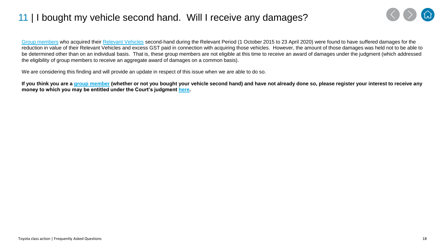## <span id="page-17-0"></span>11 | I bought my vehicle second hand. Will I receive any damages?



[Group members](#page-8-0) who acquired their [Relevant Vehicles](#page-7-0) second-hand during the Relevant Period (1 October 2015 to 23 April 2020) were found to have suffered damages for the reduction in value of their Relevant Vehicles and excess GST paid in connection with acquiring those vehicles. However, the amount of those damages was held not to be able to be determined other than on an individual basis. That is, these group members are not eligible at this time to receive an award of damages under the judgment (which addressed the eligibility of group members to receive an aggregate award of damages on a common basis).

We are considering this finding and will provide an update in respect of this issue when we are able to do so.

**If you think you are a [group member](#page-8-0) (whether or not you bought your vehicle second hand) and have not already done so, please register your interest to receive any money to which you may be entitled under the Court's judgment [here.](https://aurestructuring.deloitte-halo.com/toyotaclassaction/)**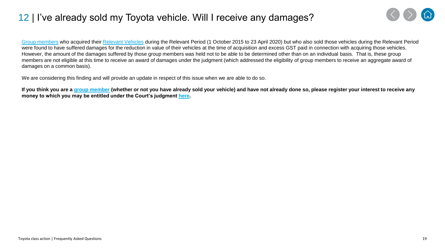### <span id="page-18-0"></span>12 | I've already sold my Toyota vehicle. Will I receive any damages?



[Group members](#page-8-0) who acquired their [Relevant Vehicles](#page-7-0) during the Relevant Period (1 October 2015 to 23 April 2020) but who also sold those vehicles during the Relevant Period were found to have suffered damages for the reduction in value of their vehicles at the time of acquisition and excess GST paid in connection with acquiring those vehicles. However, the amount of the damages suffered by those group members was held not to be able to be determined other than on an individual basis. That is, these group members are not eligible at this time to receive an award of damages under the judgment (which addressed the eligibility of group members to receive an aggregate award of damages on a common basis).

We are considering this finding and will provide an update in respect of this issue when we are able to do so.

**If you think you are a [group member](#page-8-0) (whether or not you have already sold your vehicle) and have not already done so, please register your interest to receive any money to which you may be entitled under the Court's judgment [here.](https://aurestructuring.deloitte-halo.com/toyotaclassaction/)**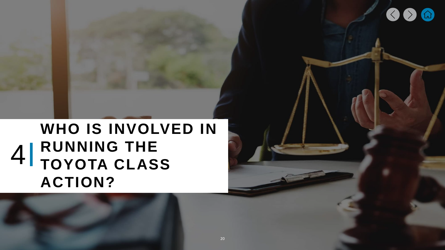## <span id="page-19-0"></span>**WHO IS INVOLVED IN RUNNING THE 4** RUNNING THE TOYOTA CLASS **ACTION?**

 $\diamond$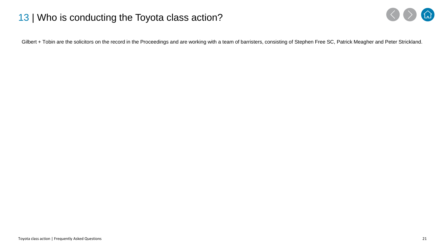#### <span id="page-20-0"></span>13 | Who is conducting the Toyota class action?



Gilbert + Tobin are the solicitors on the record in the Proceedings and are working with a team of barristers, consisting of Stephen Free SC, Patrick Meagher and Peter Strickland.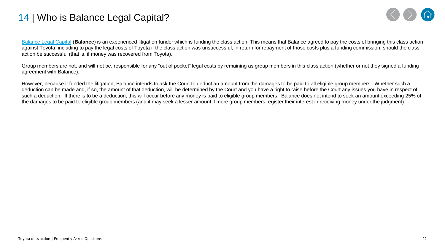#### <span id="page-21-0"></span>14 | Who is Balance Legal Capital?



[Balance Legal Capital](https://www.balancelegalcapital.com/) (**Balance**) is an experienced litigation funder which is funding the class action. This means that Balance agreed to pay the costs of bringing this class action against Toyota, including to pay the legal costs of Toyota if the class action was unsuccessful, in return for repayment of those costs plus a funding commission, should the class action be successful (that is, if money was recovered from Toyota).

Group members are not, and will not be, responsible for any "out of pocket" legal costs by remaining as group members in this class action (whether or not they signed a funding agreement with Balance).

However, because it funded the litigation, Balance intends to ask the Court to deduct an amount from the damages to be paid to all eligible group members. Whether such a deduction can be made and, if so, the amount of that deduction, will be determined by the Court and you have a right to raise before the Court any issues you have in respect of such a deduction. If there is to be a deduction, this will occur before any money is paid to eligible group members. Balance does not intend to seek an amount exceeding 25% of the damages to be paid to eligible group members (and it may seek a lesser amount if more group members register their interest in receiving money under the judgment).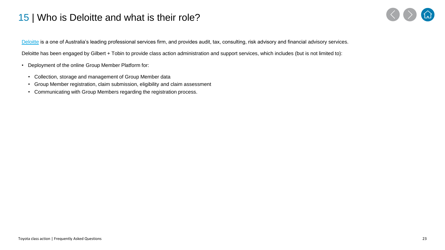#### <span id="page-22-0"></span>15 | Who is Deloitte and what is their role?



[Deloitte](https://www2.deloitte.com/au/en/pages/about-deloitte/articles/home.html) is a one of Australia's leading professional services firm, and provides audit, tax, consulting, risk advisory and financial advisory services.

Deloitte has been engaged by Gilbert + Tobin to provide class action administration and support services, which includes (but is not limited to):

- Deployment of the online Group Member Platform for:
	- Collection, storage and management of Group Member data
	- Group Member registration, claim submission, eligibility and claim assessment
	- Communicating with Group Members regarding the registration process.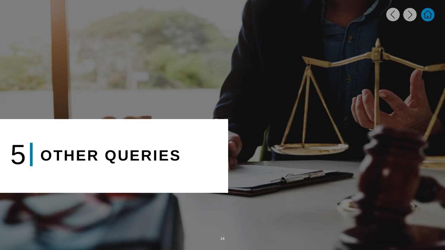# <span id="page-23-0"></span>5 **OTHER QUERIES**

 $\bullet$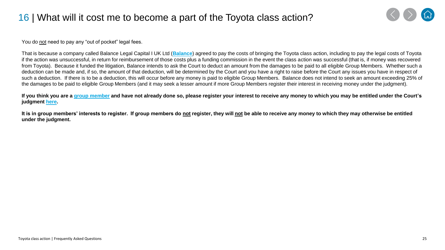## <span id="page-24-0"></span>16 | What will it cost me to become a part of the Toyota class action?



You do not need to pay any "out of pocket" legal fees.

That is because a company called Balance Legal Capital I UK Ltd (**[Balance](https://www.balancelegalcapital.com/)**) agreed to pay the costs of bringing the Toyota class action, including to pay the legal costs of Toyota if the action was unsuccessful, in return for reimbursement of those costs plus a funding commission in the event the class action was successful (that is, if money was recovered from Toyota). Because it funded the litigation, Balance intends to ask the Court to deduct an amount from the damages to be paid to all eligible Group Members. Whether such a deduction can be made and, if so, the amount of that deduction, will be determined by the Court and you have a right to raise before the Court any issues you have in respect of such a deduction. If there is to be a deduction, this will occur before any money is paid to eligible Group Members. Balance does not intend to seek an amount exceeding 25% of the damages to be paid to eligible Group Members (and it may seek a lesser amount if more Group Members register their interest in receiving money under the judgment).

**If you think you are a [group member](#page-8-0) and have not already done so, please register your interest to receive any money to which you may be entitled under the Court's judgment [here.](https://aurestructuring.deloitte-halo.com/toyotaclassaction/)**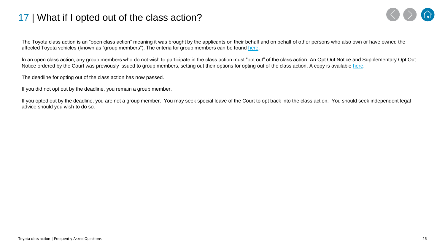#### <span id="page-25-0"></span>17 | What if I opted out of the class action?



The Toyota class action is an "open class action" meaning it was brought by the applicants on their behalf and on behalf of other persons who also own or have owned the affected Toyota vehicles (known as "group members"). The criteria for group members can be found [here](#page-7-0).

In an open class action, any group members who do not wish to participate in the class action must "opt out" of the class action. An Opt Out Notice and Supplementary Opt Out Notice ordered by the Court was previously issued to group members, setting out their options for opting out of the class action. A copy is available [here.](https://www.toyotaclassaction.com.au/wp-content/uploads/2021/01/Supplementary-Electronic-notice.pdf)

The deadline for opting out of the class action has now passed.

If you did not opt out by the deadline, you remain a group member.

If you opted out by the deadline, you are not a group member. You may seek special leave of the Court to opt back into the class action. You should seek independent legal advice should you wish to do so.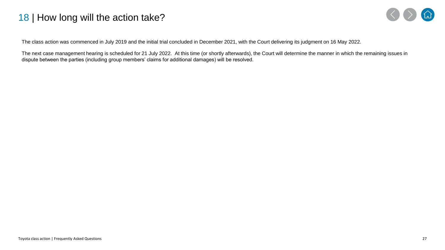#### <span id="page-26-0"></span>18 | How long will the action take?



The class action was commenced in July 2019 and the initial trial concluded in December 2021, with the Court delivering its judgment on 16 May 2022.

The next case management hearing is scheduled for 21 July 2022. At this time (or shortly afterwards), the Court will determine the manner in which the remaining issues in dispute between the parties (including group members' claims for additional damages) will be resolved.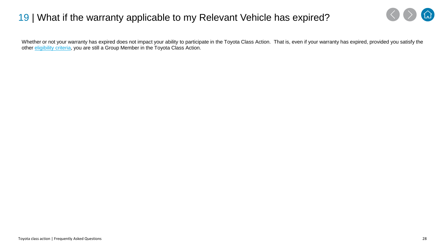#### <span id="page-27-0"></span>19 | What if the warranty applicable to my Relevant Vehicle has expired?



Whether or not your warranty has expired does not impact your ability to participate in the Toyota Class Action. That is, even if your warranty has expired, provided you satisfy the other *eligibility criteria*, you are still a Group Member in the Toyota Class Action.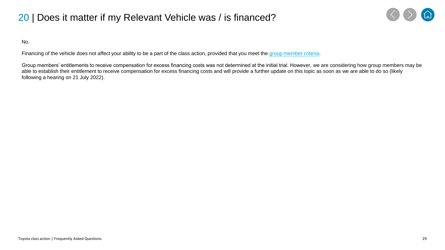## <span id="page-28-0"></span>20 | Does it matter if my Relevant Vehicle was / is financed?



No.

Financing of the vehicle does not affect your ability to be a part of the class action, provided that you meet the [group member criteria.](#page-8-0)

Group members' entitlements to receive compensation for excess financing costs was not determined at the initial trial. However, we are considering how group members may be able to establish their entitlement to receive compensation for excess financing costs and will provide a further update on this topic as soon as we are able to do so (likely following a hearing on 21 July 2022).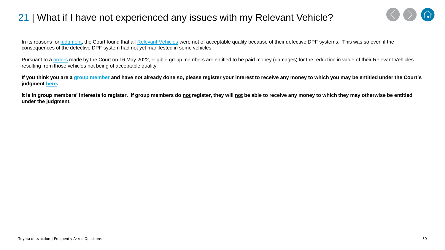### <span id="page-29-0"></span>21 | What if I have not experienced any issues with my Relevant Vehicle?



In its reasons for [judgment](https://www.judgments.fedcourt.gov.au/judgments/Judgments/fca/single/2022/2022fca0344), the Court found that all [Relevant Vehicles](#page-7-0) were not of acceptable quality because of their defective DPF systems. This was so even if the consequences of the defective DPF system had not yet manifested in some vehicles.

Pursuant to a [orders](https://www.comcourts.gov.au/file/Federal/P/NSD1210/2019/3864587/event/31060491/document/1945916) made by the Court on 16 May 2022, eligible group members are entitled to be paid money (damages) for the reduction in value of their Relevant Vehicles resulting from those vehicles not being of acceptable quality.

**If you think you are a [group member](#page-8-0) and have not already done so, please register your interest to receive any money to which you may be entitled under the Court's judgment [here.](https://aurestructuring.deloitte-halo.com/toyotaclassaction/)**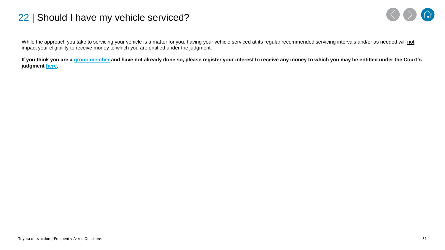#### <span id="page-30-0"></span>22 | Should I have my vehicle serviced?



While the approach you take to servicing your vehicle is a matter for you, having your vehicle serviced at its regular recommended servicing intervals and/or as needed will not impact your eligibility to receive money to which you are entitled under the judgment.

**If you think you are a [group member](#page-8-0) and have not already done so, please register your interest to receive any money to which you may be entitled under the Court's judgment [here.](https://aurestructuring.deloitte-halo.com/toyotaclassaction/)**